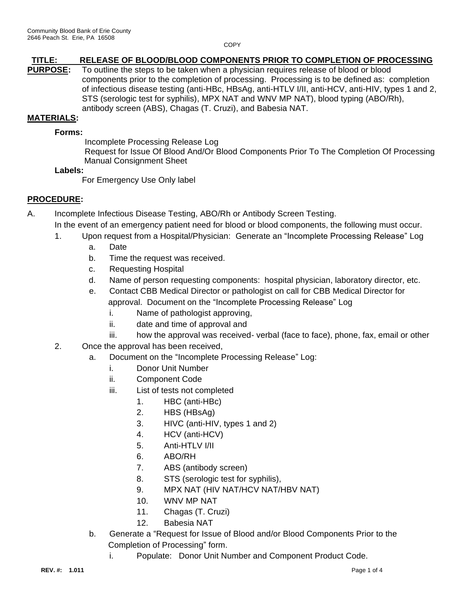**COPY** 

# **TITLE: RELEASE OF BLOOD/BLOOD COMPONENTS PRIOR TO COMPLETION OF PROCESSING**

**PURPOSE:** To outline the steps to be taken when a physician requires release of blood or blood components prior to the completion of processing. Processing is to be defined as: completion of infectious disease testing (anti-HBc, HBsAg, anti-HTLV I/II, anti-HCV, anti-HIV, types 1 and 2, STS (serologic test for syphilis), MPX NAT and WNV MP NAT), blood typing (ABO/Rh), antibody screen (ABS), Chagas (T. Cruzi), and Babesia NAT.

#### **MATERIALS:**

#### **Forms:**

Incomplete Processing Release Log

 Request for Issue Of Blood And/Or Blood Components Prior To The Completion Of Processing Manual Consignment Sheet

#### **Labels:**

For Emergency Use Only label

### **PROCEDURE:**

A. Incomplete Infectious Disease Testing, ABO/Rh or Antibody Screen Testing.

In the event of an emergency patient need for blood or blood components, the following must occur.

- 1. Upon request from a Hospital/Physician: Generate an "Incomplete Processing Release" Log
	- a. Date
	- b. Time the request was received.
	- c. Requesting Hospital
	- d. Name of person requesting components: hospital physician, laboratory director, etc.
	- e. Contact CBB Medical Director or pathologist on call for CBB Medical Director for approval. Document on the "Incomplete Processing Release" Log
		- i. Name of pathologist approving,
		- ii. date and time of approval and
		- iii. how the approval was received- verbal (face to face), phone, fax, email or other
- 2. Once the approval has been received,
	- a. Document on the "Incomplete Processing Release" Log:
		- i. Donor Unit Number
		- ii. Component Code
		- iii. List of tests not completed
			- 1. HBC (anti-HBc)
			- 2. HBS (HBsAg)
			- 3. HIVC (anti-HIV, types 1 and 2)
			- 4. HCV (anti-HCV)
			- 5. Anti-HTLV I/II
			- 6. ABO/RH
			- 7. ABS (antibody screen)
			- 8. STS (serologic test for syphilis),
			- 9. MPX NAT (HIV NAT/HCV NAT/HBV NAT)
			- 10. WNV MP NAT
			- 11. Chagas (T. Cruzi)
			- 12. Babesia NAT
	- b. Generate a "Request for Issue of Blood and/or Blood Components Prior to the Completion of Processing" form.
		- i. Populate: Donor Unit Number and Component Product Code.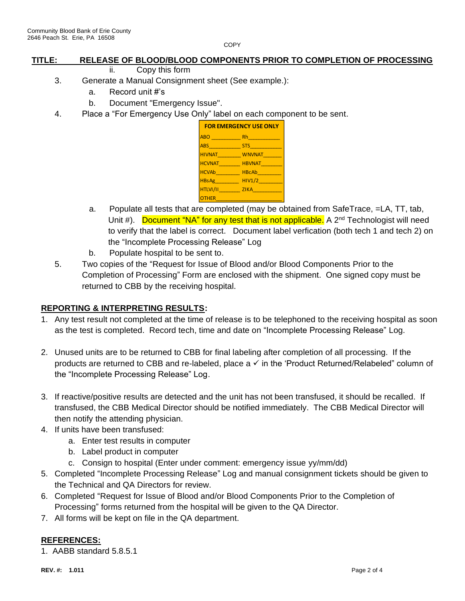**COPY** 

### **TITLE: RELEASE OF BLOOD/BLOOD COMPONENTS PRIOR TO COMPLETION OF PROCESSING**

- ii. Copy this form
- 3. Generate a Manual Consignment sheet (See example.):
	- a. Record unit #'s
	- b. Document "Emergency Issue".
- 4. Place a "For Emergency Use Only" label on each component to be sent.

| <b>FOR EMERGENCY USE ONLY</b> |                |  |  |
|-------------------------------|----------------|--|--|
| ABO <b>ABO</b>                | <b>Rh</b> 2008 |  |  |
| ABS                           | STS            |  |  |
| <b>HIVNAT</b>                 | <b>WNVNAT</b>  |  |  |
| <b>HCVNAT</b>                 | <b>HBVNAT</b>  |  |  |
| HCVAb                         | <b>HBcAb</b>   |  |  |
| <b>HBsAg</b>                  | HIVI/2         |  |  |
| HTLVI/II ZIKA                 |                |  |  |
| <b>OTHER</b>                  |                |  |  |

- a. Populate all tests that are completed (may be obtained from SafeTrace, =LA, TT, tab, Unit #). Document "NA" for any test that is not applicable. A  $2^{nd}$  Technologist will need to verify that the label is correct. Document label verfication (both tech 1 and tech 2) on the "Incomplete Processing Release" Log
- b. Populate hospital to be sent to.
- 5. Two copies of the "Request for Issue of Blood and/or Blood Components Prior to the Completion of Processing" Form are enclosed with the shipment. One signed copy must be returned to CBB by the receiving hospital.

### **REPORTING & INTERPRETING RESULTS:**

- 1. Any test result not completed at the time of release is to be telephoned to the receiving hospital as soon as the test is completed. Record tech, time and date on "Incomplete Processing Release" Log.
- 2. Unused units are to be returned to CBB for final labeling after completion of all processing. If the products are returned to CBB and re-labeled, place a √ in the 'Product Returned/Relabeled" column of the "Incomplete Processing Release" Log.
- 3. If reactive/positive results are detected and the unit has not been transfused, it should be recalled. If transfused, the CBB Medical Director should be notified immediately. The CBB Medical Director will then notify the attending physician.
- 4. If units have been transfused:
	- a. Enter test results in computer
	- b. Label product in computer
	- c. Consign to hospital (Enter under comment: emergency issue yy/mm/dd)
- 5. Completed "Incomplete Processing Release" Log and manual consignment tickets should be given to the Technical and QA Directors for review.
- 6. Completed "Request for Issue of Blood and/or Blood Components Prior to the Completion of Processing" forms returned from the hospital will be given to the QA Director.
- 7. All forms will be kept on file in the QA department.

### **REFERENCES:**

1. AABB standard 5.8.5.1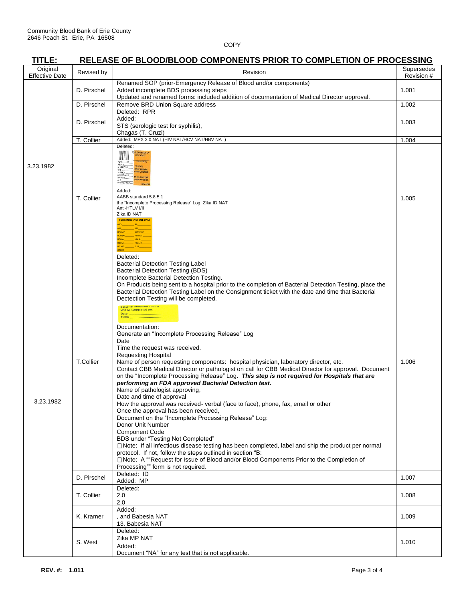# **TITLE: RELEASE OF BLOOD/BLOOD COMPONENTS PRIOR TO COMPLETION OF PROCESSING**

| 111 LC.                           |                  | <u>KELEASE OF BLOOD/BLOOD COMFONENTS FRIOR TO COMFLETION OF FROGESSING</u>                                                                                                                                                                                                                                                                                                                                                                                                                                                                                                                                                                                                                                                                                                                                                                                                                                                                                                                                                                                                                                                                                                                                                                                                                                                                                                                                                                                                                                                                                                                                                                      |                          |
|-----------------------------------|------------------|-------------------------------------------------------------------------------------------------------------------------------------------------------------------------------------------------------------------------------------------------------------------------------------------------------------------------------------------------------------------------------------------------------------------------------------------------------------------------------------------------------------------------------------------------------------------------------------------------------------------------------------------------------------------------------------------------------------------------------------------------------------------------------------------------------------------------------------------------------------------------------------------------------------------------------------------------------------------------------------------------------------------------------------------------------------------------------------------------------------------------------------------------------------------------------------------------------------------------------------------------------------------------------------------------------------------------------------------------------------------------------------------------------------------------------------------------------------------------------------------------------------------------------------------------------------------------------------------------------------------------------------------------|--------------------------|
| Original<br><b>Effective Date</b> | Revised by       | Revision                                                                                                                                                                                                                                                                                                                                                                                                                                                                                                                                                                                                                                                                                                                                                                                                                                                                                                                                                                                                                                                                                                                                                                                                                                                                                                                                                                                                                                                                                                                                                                                                                                        | Supersedes<br>Revision # |
|                                   | D. Pirschel      | Renamed SOP (prior-Emergency Release of Blood and/or components)<br>Added incomplete BDS processing steps<br>Updated and renamed forms: included addition of documentation of Medical Director approval.                                                                                                                                                                                                                                                                                                                                                                                                                                                                                                                                                                                                                                                                                                                                                                                                                                                                                                                                                                                                                                                                                                                                                                                                                                                                                                                                                                                                                                        | 1.001                    |
|                                   | D. Pirschel      | Remove BRD Union Square address                                                                                                                                                                                                                                                                                                                                                                                                                                                                                                                                                                                                                                                                                                                                                                                                                                                                                                                                                                                                                                                                                                                                                                                                                                                                                                                                                                                                                                                                                                                                                                                                                 |                          |
|                                   | D. Pirschel      | Deleted: RPR<br>Added:<br>STS (serologic test for syphilis),<br>Chagas (T. Cruzi)                                                                                                                                                                                                                                                                                                                                                                                                                                                                                                                                                                                                                                                                                                                                                                                                                                                                                                                                                                                                                                                                                                                                                                                                                                                                                                                                                                                                                                                                                                                                                               | 1.002<br>1.003           |
|                                   | T. Collier       | Added: MPX 2.0 NAT (HIV NAT/HCV NAT/HBV NAT)                                                                                                                                                                                                                                                                                                                                                                                                                                                                                                                                                                                                                                                                                                                                                                                                                                                                                                                                                                                                                                                                                                                                                                                                                                                                                                                                                                                                                                                                                                                                                                                                    | 1.004                    |
| 3.23.1982                         | T. Collier       | Deleted:<br>FOR EMERGENCY<br>WW<br>ABO_____Rh_<br><b>HB</b> Ag<br>HBIAg<br>anti HIV-1/2 ____ CAUTION<br>Briot Transisto<br>Contine Compatibility<br>antiHCV<br>results received fro<br>HMHCV NAT_<br>Added:<br>AABB standard 5.8.5.1<br>the "Incomplete Processing Release" Log Zika ID NAT<br>Anti-HTLV I/II<br>Zika ID NAT<br><b>FOR EMERGENCY USE ONLY</b><br><b>WNVNAT</b><br><b>HBVNAT</b><br><b>HBcAb</b><br>HIV1/2                                                                                                                                                                                                                                                                                                                                                                                                                                                                                                                                                                                                                                                                                                                                                                                                                                                                                                                                                                                                                                                                                                                                                                                                                       | 1.005                    |
| 3.23.1982                         | <b>T.Collier</b> | Deleted:<br><b>Bacterial Detection Testing Label</b><br><b>Bacterial Detection Testing (BDS)</b><br>Incomplete Bacterial Detection Testing.<br>On Products being sent to a hospital prior to the completion of Bacterial Detection Testing, place the<br>Bacterial Detection Testing Label on the Consignment ticket with the date and time that Bacterial<br>Dectection Testing will be completed.<br><b>Bacterial Detection Testing</b><br>Will be Completed on:<br>Date:<br><b>Time</b><br>Documentation:<br>Generate an "Incomplete Processing Release" Log<br>Date<br>Time the request was received.<br><b>Requesting Hospital</b><br>Name of person requesting components: hospital physician, laboratory director, etc.<br>Contact CBB Medical Director or pathologist on call for CBB Medical Director for approval. Document<br>on the "Incomplete Processing Release" Log. This step is not required for Hospitals that are<br>performing an FDA approved Bacterial Detection test.<br>Name of pathologist approving,<br>Date and time of approval<br>How the approval was received- verbal (face to face), phone, fax, email or other<br>Once the approval has been received,<br>Document on the "Incomplete Processing Release" Log:<br>Donor Unit Number<br><b>Component Code</b><br>BDS under "Testing Not Completed"<br>$\Box$ Note: If all infectious disease testing has been completed, label and ship the product per normal<br>protocol. If not, follow the steps outlined in section "B:<br>□Note: A ""Request for Issue of Blood and/or Blood Components Prior to the Completion of<br>Processing"" form is not required. | 1.006                    |
|                                   | D. Pirschel      | Deleted: ID<br>Added: MP                                                                                                                                                                                                                                                                                                                                                                                                                                                                                                                                                                                                                                                                                                                                                                                                                                                                                                                                                                                                                                                                                                                                                                                                                                                                                                                                                                                                                                                                                                                                                                                                                        | 1.007                    |
|                                   | T. Collier       | Deleted:<br>2.0<br>2.0                                                                                                                                                                                                                                                                                                                                                                                                                                                                                                                                                                                                                                                                                                                                                                                                                                                                                                                                                                                                                                                                                                                                                                                                                                                                                                                                                                                                                                                                                                                                                                                                                          | 1.008                    |
|                                   | K. Kramer        | Added:<br>, and Babesia NAT<br>13. Babesia NAT                                                                                                                                                                                                                                                                                                                                                                                                                                                                                                                                                                                                                                                                                                                                                                                                                                                                                                                                                                                                                                                                                                                                                                                                                                                                                                                                                                                                                                                                                                                                                                                                  | 1.009                    |
|                                   | S. West          | Deleted:<br>Zika MP NAT<br>Added:<br>Document "NA" for any test that is not applicable.                                                                                                                                                                                                                                                                                                                                                                                                                                                                                                                                                                                                                                                                                                                                                                                                                                                                                                                                                                                                                                                                                                                                                                                                                                                                                                                                                                                                                                                                                                                                                         | 1.010                    |